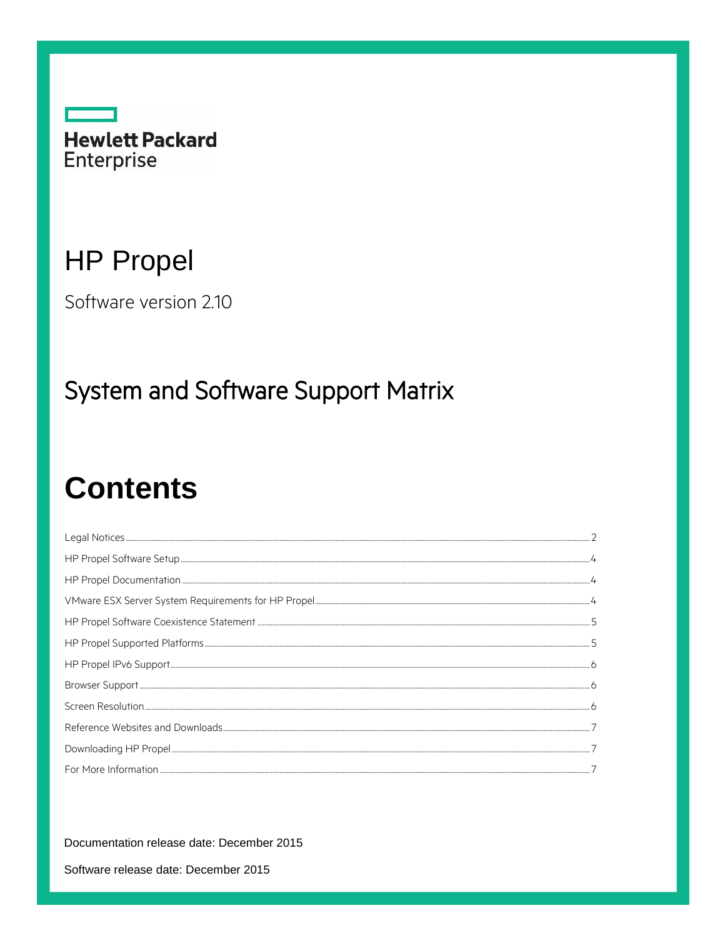

# **HP Propel**

Software version 2.10

## **System and Software Support Matrix**

# **Contents**

Documentation release date: December 2015

Software release date: December 2015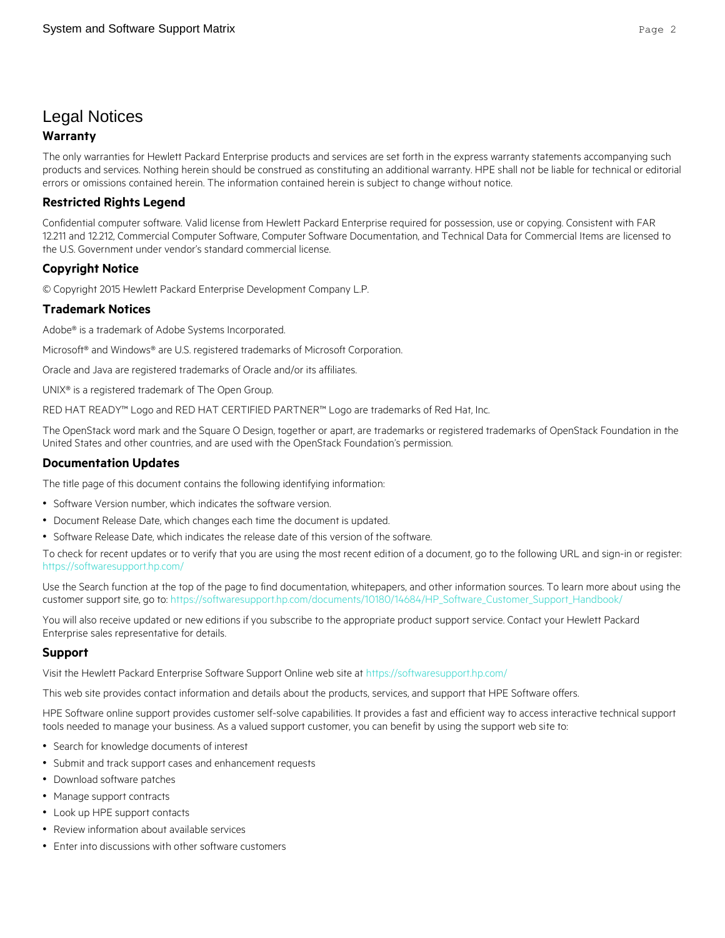## <span id="page-1-0"></span>Legal Notices

#### **Warranty**

The only warranties for Hewlett Packard Enterprise products and services are set forth in the express warranty statements accompanying such products and services. Nothing herein should be construed as constituting an additional warranty. HPE shall not be liable for technical or editorial errors or omissions contained herein. The information contained herein is subject to change without notice.

#### **Restricted Rights Legend**

Confidential computer software. Valid license from Hewlett Packard Enterprise required for possession, use or copying. Consistent with FAR 12.211 and 12.212, Commercial Computer Software, Computer Software Documentation, and Technical Data for Commercial Items are licensed to the U.S. Government under vendor's standard commercial license.

#### **Copyright Notice**

© Copyright 2015 Hewlett Packard Enterprise Development Company L.P.

#### **Trademark Notices**

Adobe® is a trademark of Adobe Systems Incorporated.

Microsoft<sup>®</sup> and Windows® are U.S. registered trademarks of Microsoft Corporation.

Oracle and Java are registered trademarks of Oracle and/or its affiliates.

UNIX® is a registered trademark of The Open Group.

RED HAT READY™ Logo and RED HAT CERTIFIED PARTNER™ Logo are trademarks of Red Hat, Inc.

The OpenStack word mark and the Square O Design, together or apart, are trademarks or registered trademarks of OpenStack Foundation in the United States and other countries, and are used with the OpenStack Foundation's permission.

#### **Documentation Updates**

The title page of this document contains the following identifying information:

- Software Version number, which indicates the software version.
- Document Release Date, which changes each time the document is updated.
- Software Release Date, which indicates the release date of this version of the software.

To check for recent updates or to verify that you are using the most recent edition of a document, go to the following URL and sign-in or register: <https://softwaresupport.hp.com/>

Use the Search function at the top of the page to find documentation, whitepapers, and other information sources. To learn more about using the customer support site, go to: [https://softwaresupport.hp.com/documents/10180/14684/HP\\_Software\\_Customer\\_Support\\_Handbook/](https://softwaresupport.hp.com/documents/10180/14684/HP_Software_Customer_Support_Handbook/) 

You will also receive updated or new editions if you subscribe to the appropriate product support service. Contact your Hewlett Packard Enterprise sales representative for details.

#### **Support**

Visit the Hewlett Packard Enterprise Software Support Online web site at<https://softwaresupport.hp.com/>

This web site provides contact information and details about the products, services, and support that HPE Software offers.

HPE Software online support provides customer self-solve capabilities. It provides a fast and efficient way to access interactive technical support tools needed to manage your business. As a valued support customer, you can benefit by using the support web site to:

- Search for knowledge documents of interest
- Submit and track support cases and enhancement requests
- Download software patches
- Manage support contracts
- Look up HPE support contacts
- Review information about available services
- Enter into discussions with other software customers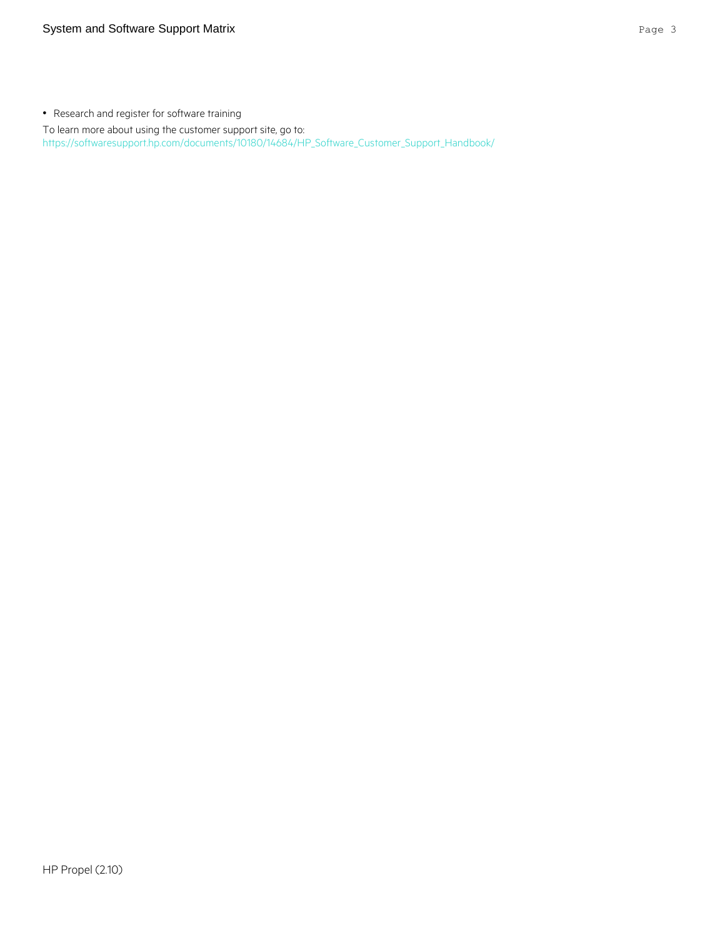• Research and register for software training

To learn more about using the customer support site, go to: [https://softwaresupport.hp.com/documents/10180/14684/HP\\_Software\\_Customer\\_Support\\_Handbook/](https://softwaresupport.hp.com/documents/10180/14684/HP_Software_Customer_Support_Handbook/)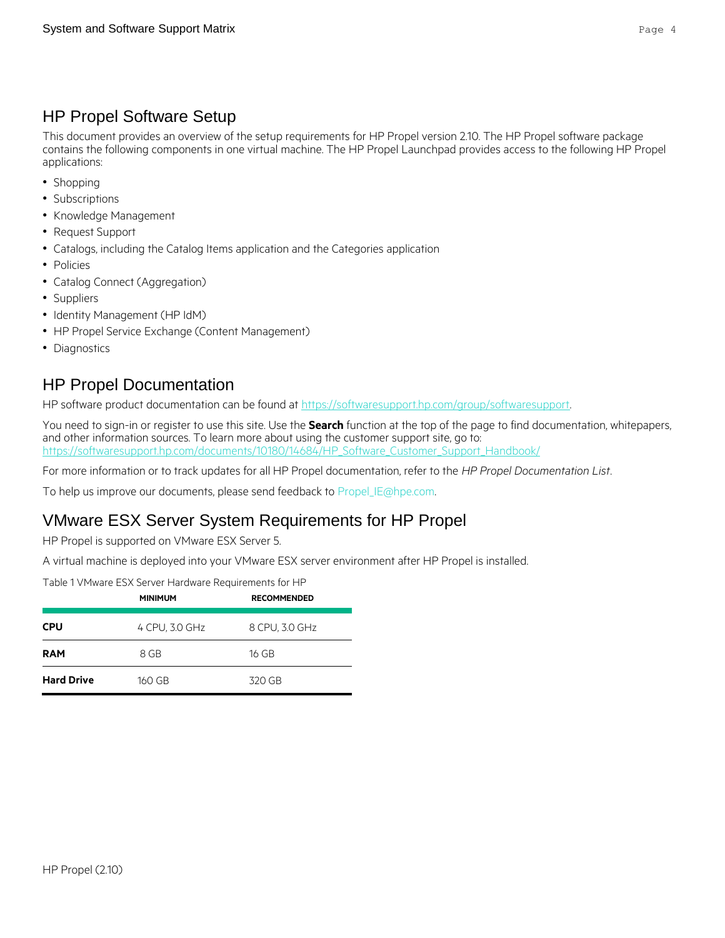## <span id="page-3-0"></span>HP Propel Software Setup

This document provides an overview of the setup requirements for HP Propel version 2.10. The HP Propel software package contains the following components in one virtual machine. The HP Propel Launchpad provides access to the following HP Propel applications:

- Shopping
- Subscriptions
- Knowledge Management
- Request Support
- Catalogs, including the Catalog Items application and the Categories application
- Policies
- Catalog Connect (Aggregation)
- Suppliers
- Identity Management (HP IdM)
- HP Propel Service Exchange (Content Management)
- Diagnostics

## <span id="page-3-1"></span>HP Propel Documentation

HP software product documentation can be found a[t https://softwaresupport.hp.com/group/softwaresupport.](https://softwaresupport.hp.com/group/softwaresupport)

You need to sign-in or register to use this site. Use the **Search** function at the top of the page to find documentation, whitepapers, and other information sources. To learn more about using the customer support site, go to: [https://softwaresupport.hp.com/documents/10180/14684/HP\\_Software\\_Customer\\_Support\\_Handbook/](https://softwaresupport.hp.com/documents/10180/14684/HP_Software_Customer_Support_Handbook/)

For more information or to track updates for all HP Propel documentation, refer to the *HP Propel Documentation List*.

To help us improve our documents, please send feedback to [Propel\\_IE@hpe.com.](mailto:Propel_IE@hpe.com?subject=Propel%20Documentation%20Feedback)

#### <span id="page-3-2"></span>VMware ESX Server System Requirements for HP Propel

HP Propel is supported on VMware ESX Server 5.

A virtual machine is deployed into your VMware ESX server environment after HP Propel is installed.

Table 1 VMware ESX Server Hardware Requirements for HP

|                   | <b>MINIMUM</b> | <b>RECOMMENDED</b><br>8 CPU, 3.0 GHz |  |
|-------------------|----------------|--------------------------------------|--|
| <b>CPU</b>        | 4 CPU, 3.0 GHz |                                      |  |
| <b>RAM</b>        | 8 GB           | 16 GB                                |  |
| <b>Hard Drive</b> | 160 GB         | 320 GB                               |  |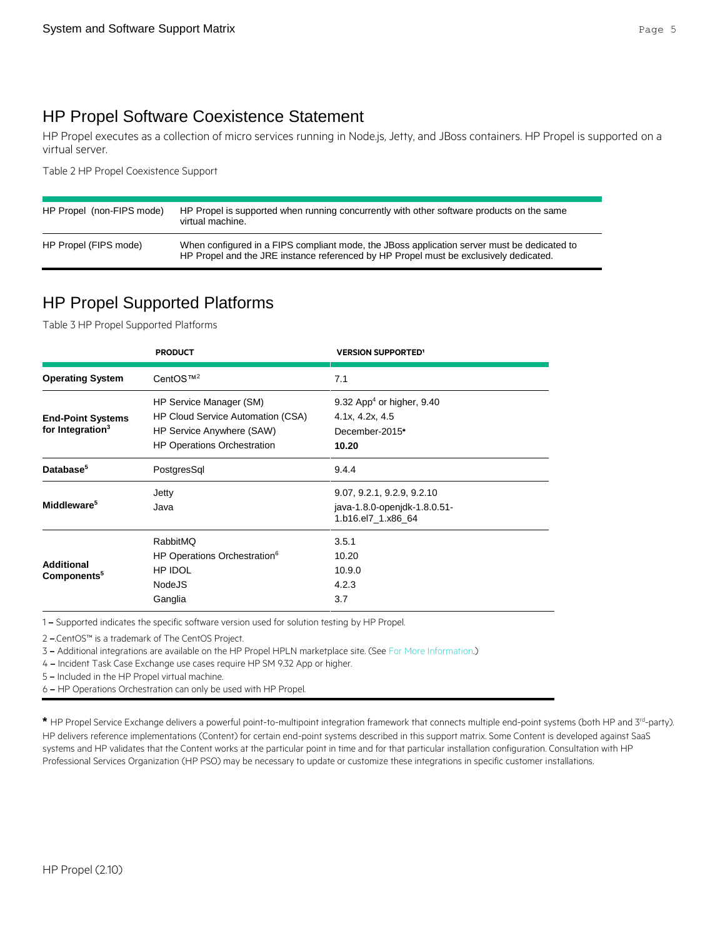## <span id="page-4-0"></span>HP Propel Software Coexistence Statement

HP Propel executes as a collection of micro services running in Node.js, Jetty, and JBoss containers. HP Propel is supported on a virtual server.

Table 2 HP Propel Coexistence Support

| HP Propel (non-FIPS mode) | HP Propel is supported when running concurrently with other software products on the same<br>virtual machine.                                                                        |
|---------------------------|--------------------------------------------------------------------------------------------------------------------------------------------------------------------------------------|
| HP Propel (FIPS mode)     | When configured in a FIPS compliant mode, the JBoss application server must be dedicated to<br>HP Propel and the JRE instance referenced by HP Propel must be exclusively dedicated. |

## <span id="page-4-1"></span>HP Propel Supported Platforms

Table 3 HP Propel Supported Platforms

|                                                          | <b>PRODUCT</b>                                                                                                                  | <b>VERSION SUPPORTED1</b>                                                           |
|----------------------------------------------------------|---------------------------------------------------------------------------------------------------------------------------------|-------------------------------------------------------------------------------------|
| <b>Operating System</b>                                  | CentOS™ <sup>2</sup>                                                                                                            | 7.1                                                                                 |
| <b>End-Point Systems</b><br>for Integration <sup>3</sup> | HP Service Manager (SM)<br>HP Cloud Service Automation (CSA)<br>HP Service Anywhere (SAW)<br><b>HP Operations Orchestration</b> | 9.32 App <sup>4</sup> or higher, 9.40<br>4.1x, 4.2x, 4.5<br>December-2015*<br>10.20 |
| Database <sup>5</sup>                                    | PostgresSql                                                                                                                     | 9.4.4                                                                               |
| Middleware <sup>5</sup>                                  | Jetty<br>Java                                                                                                                   | 9.07, 9.2.1, 9.2.9, 9.2.10<br>java-1.8.0-openidk-1.8.0.51-<br>1.b16.el7 1.x86 64    |
| <b>Additional</b><br>Components <sup>5</sup>             | RabbitMO<br>HP Operations Orchestration <sup>6</sup><br>HP IDOL<br><b>NodeJS</b><br>Ganglia                                     | 3.5.1<br>10.20<br>10.9.0<br>4.2.3<br>3.7                                            |

1 – Supported indicates the specific software version used for solution testing by HP Propel.

2 –.CentOS™ is a trademark of The CentOS Project.

3 – Additional integrations are available on the HP Propel HPLN marketplace site. (See [For More Information.\)](#page-6-2)

4 – Incident Task Case Exchange use cases require HP SM 9.32 App or higher.

5 – Included in the HP Propel virtual machine.

6 – HP Operations Orchestration can only be used with HP Propel.

\* HP Propel Service Exchange delivers a powerful point-to-multipoint integration framework that connects multiple end-point systems (both HP and 3<sup>rd</sup>-party). HP delivers reference implementations (Content) for certain end-point systems described in this support matrix. Some Content is developed against SaaS systems and HP validates that the Content works at the particular point in time and for that particular installation configuration. Consultation with HP Professional Services Organization (HP PSO) may be necessary to update or customize these integrations in specific customer installations.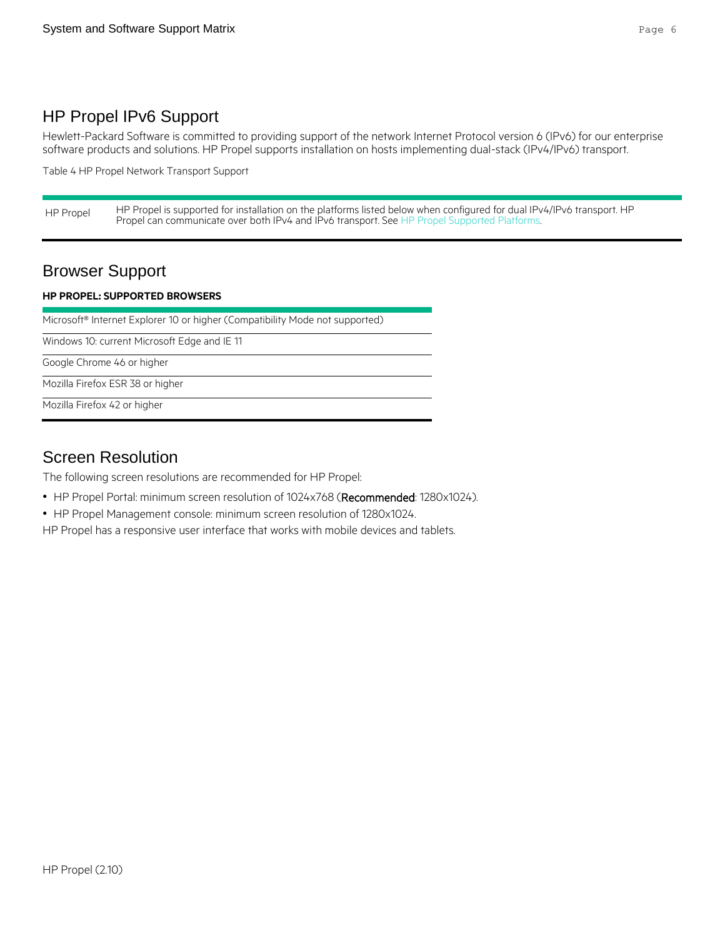## <span id="page-5-0"></span>HP Propel IPv6 Support

Hewlett-Packard Software is committed to providing support of the network Internet Protocol version 6 (IPv6) for our enterprise software products and solutions. HP Propel supports installation on hosts implementing dual-stack (IPv4/IPv6) transport.

Table 4 HP Propel Network Transport Support

HP Propel HP Propel is supported for installation on the platforms listed below when configured for dual IPv4/IPv6 transport. HP Propel can communicate over both IPv4 and IPv6 transport. See [HP Propel Supported Platforms.](#page-4-1)

## <span id="page-5-1"></span>Browser Support

#### **HP PROPEL: SUPPORTED BROWSERS**

Microsoft® Internet Explorer 10 or higher (Compatibility Mode not supported)

Windows 10: current Microsoft Edge and IE 11

Google Chrome 46 or higher

Mozilla Firefox ESR 38 or higher

Mozilla Firefox 42 or higher

#### <span id="page-5-2"></span>Screen Resolution

The following screen resolutions are recommended for HP Propel:

- HP Propel Portal: minimum screen resolution of 1024x768 (Recommended: 1280x1024).
- HP Propel Management console: minimum screen resolution of 1280x1024.

HP Propel has a responsive user interface that works with mobile devices and tablets.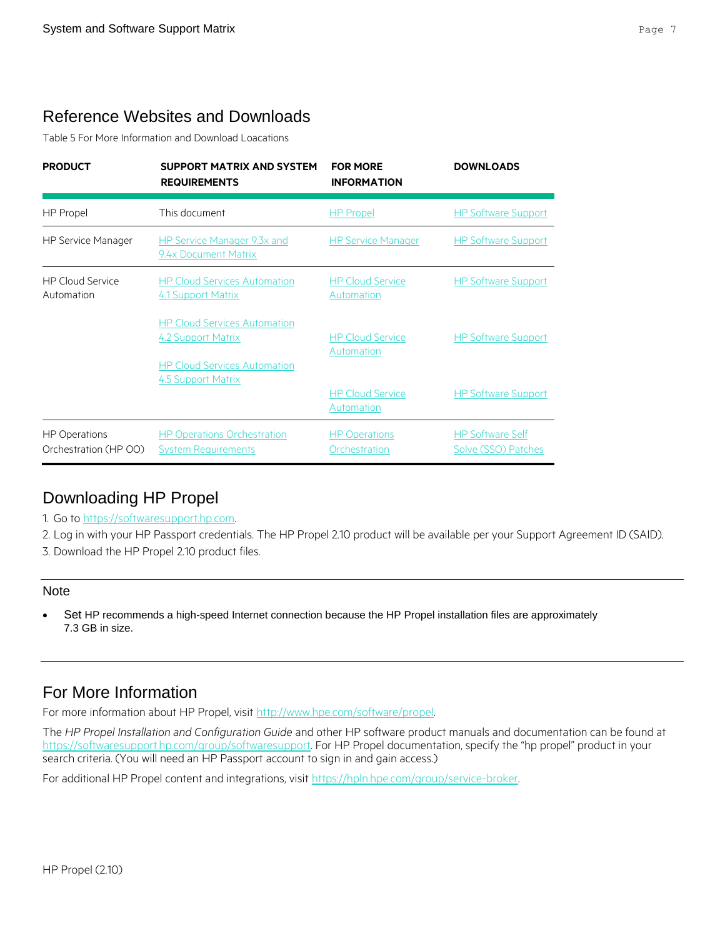## <span id="page-6-0"></span>Reference Websites and Downloads

Table 5 For More Information and Download Loacations

| <b>PRODUCT</b>                                | <b>SUPPORT MATRIX AND SYSTEM</b><br><b>REQUIREMENTS</b>          | <b>FOR MORF</b><br><b>INFORMATION</b> | <b>DOWNLOADS</b>                               |
|-----------------------------------------------|------------------------------------------------------------------|---------------------------------------|------------------------------------------------|
| HP Propel                                     | This document                                                    | <b>HP</b> Propel                      | <b>HP Software Support</b>                     |
| <b>HP Service Manager</b>                     | HP Service Manager 9.3x and<br>9.4x Document Matrix              | <b>HP Service Manager</b>             | <b>HP Software Support</b>                     |
| <b>HP Cloud Service</b><br>Automation         | <b>HP Cloud Services Automation</b><br>4.1 Support Matrix        | <b>HP Cloud Service</b><br>Automation | <b>HP Software Support</b>                     |
|                                               | <b>HP Cloud Services Automation</b><br>4.2 Support Matrix        | <b>HP Cloud Service</b><br>Automation | <b>HP Software Support</b>                     |
|                                               | <b>HP Cloud Services Automation</b><br>4.5 Support Matrix        | <b>HP Cloud Service</b><br>Automation | <b>HP Software Support</b>                     |
| <b>HP Operations</b><br>Orchestration (HP OO) | <b>HP Operations Orchestration</b><br><b>System Requirements</b> | <b>HP Operations</b><br>Orchestration | <b>HP Software Self</b><br>Solve (SSO) Patches |

## <span id="page-6-1"></span>Downloading HP Propel

1. Go to [https://softwaresupport.hp.com.](https://softwaresupport.hp.com/)

2. Log in with your HP Passport credentials. The HP Propel 2.10 product will be available per your Support Agreement ID (SAID). 3. Download the HP Propel 2.10 product files.

#### Note

 Set HP recommends a high-speed Internet connection because the HP Propel installation files are approximately 7.3 GB in size.

## <span id="page-6-2"></span>For More Information

For more information about HP Propel, visi[t http://www.hpe.com/software/propel.](http://www.hpe.com/software/propel)

The *HP Propel Installation and Configuration Guide* and other HP software product manuals and documentation can be found at <https://softwaresupport.hp.com/group/softwaresupport>. For HP Propel documentation, specify the "hp propel" product in your search criteria. (You will need an HP Passport account to sign in and gain access.)

For additional HP Propel content and integrations, visit [https://hpln.hpe.com/group/service-broker.](https://hpln.hpe.com/group/service-broker)